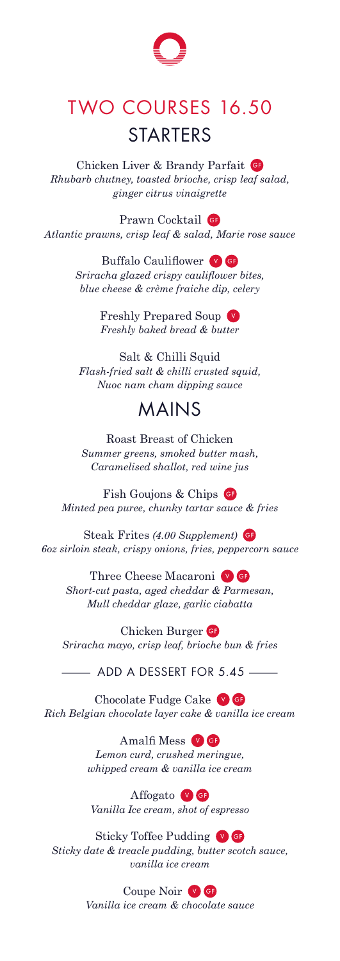

## TWO COURSES 16.50 **STARTERS**

Chicken Liver & Brandy Parfait *Rhubarb chutney, toasted brioche, crisp leaf salad, ginger citrus vinaigrette*

Prawn Cocktail G *Atlantic prawns, crisp leaf & salad, Marie rose sauce* 

> Buffalo Cauliflower<sup>9</sup> *Sriracha glazed crispy cauliflower bites, blue cheese & crème fraiche dip, celery*

> > Freshly Prepared Soup *Freshly baked bread & butter*

Salt & Chilli Squid *Flash-fried salt & chilli crusted squid, Nuoc nam cham dipping sauce* 

## MAINS

Roast Breast of Chicken *Summer greens, smoked butter mash, Caramelised shallot, red wine jus* 

Fish Goujons & Chips **G** *Minted pea puree, chunky tartar sauce & fries*

Steak Frites *(4.00 Supplement) 6oz sirloin steak, crispy onions, fries, peppercorn sauce*

Three Cheese Macaroni<sup>V</sup>G *Short-cut pasta, aged cheddar & Parmesan, Mull cheddar glaze, garlic ciabatta* 

Chicken Burger *Sriracha mayo, crisp leaf, brioche bun & fries* – ADD A DESSERT FOR 5.45 –

Chocolate Fudge Cake *Rich Belgian chocolate layer cake & vanilla ice cream*

> Amalfi Mess v G *Lemon curd, crushed meringue, whipped cream & vanilla ice cream*

Affogato **v G** *Vanilla Ice cream, shot of espresso*

Sticky Toffee Pudding  $\bullet$  G *Sticky date & treacle pudding, butter scotch sauce, vanilla ice cream*

Coupe Noir V G

*Vanilla ice cream & chocolate sauce*